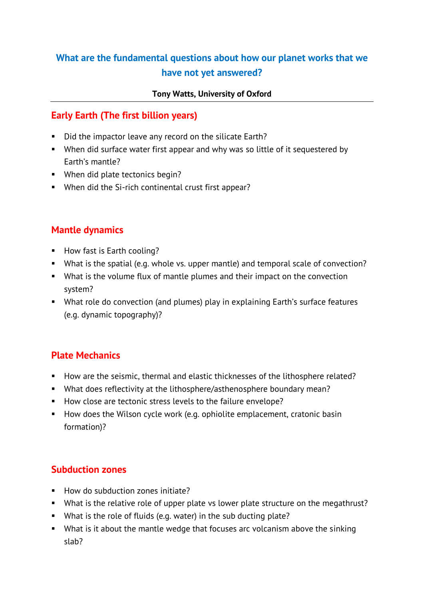# **What are the fundamental questions about how our planet works that we have not yet answered?**

#### **Tony Watts, University of Oxford**

# **Early Earth (The first billion years)**

- Did the impactor leave any record on the silicate Earth?
- When did surface water first appear and why was so little of it sequestered by Earth's mantle?
- When did plate tectonics begin?
- When did the Si-rich continental crust first appear?

# **Mantle dynamics**

- **How fast is Earth cooling?**
- What is the spatial (e.g. whole vs. upper mantle) and temporal scale of convection?
- What is the volume flux of mantle plumes and their impact on the convection system?
- What role do convection (and plumes) play in explaining Earth's surface features (e.g. dynamic topography)?

## **Plate Mechanics**

- How are the seismic, thermal and elastic thicknesses of the lithosphere related?
- What does reflectivity at the lithosphere/asthenosphere boundary mean?
- How close are tectonic stress levels to the failure envelope?
- How does the Wilson cycle work (e.g. ophiolite emplacement, cratonic basin formation)?

## **Subduction zones**

- How do subduction zones initiate?
- What is the relative role of upper plate vs lower plate structure on the megathrust?
- What is the role of fluids (e.g. water) in the sub ducting plate?
- What is it about the mantle wedge that focuses arc volcanism above the sinking slab?